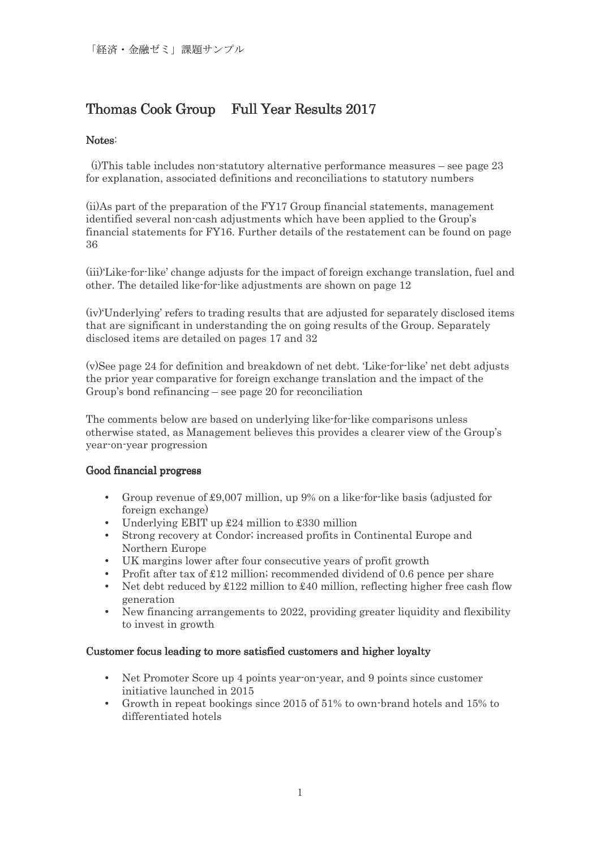# Thomas Cook Group Full Year Results 2017

## Notes:

 (i)This table includes non-statutory alternative performance measures – see page 23 for explanation, associated definitions and reconciliations to statutory numbers

(ii)As part of the preparation of the FY17 Group financial statements, management identified several non-cash adjustments which have been applied to the Group's financial statements for FY16. Further details of the restatement can be found on page 36

(iii)'Like-for-like' change adjusts for the impact of foreign exchange translation, fuel and other. The detailed like-for-like adjustments are shown on page 12

(iv)'Underlying' refers to trading results that are adjusted for separately disclosed items that are significant in understanding the on going results of the Group. Separately disclosed items are detailed on pages 17 and 32

(v)See page 24 for definition and breakdown of net debt. 'Like-for-like' net debt adjusts the prior year comparative for foreign exchange translation and the impact of the Group's bond refinancing – see page 20 for reconciliation

The comments below are based on underlying like-for-like comparisons unless otherwise stated, as Management believes this provides a clearer view of the Group's year-on-year progression

### Good financial progress

- Group revenue of £9,007 million, up 9% on a like-for-like basis (adjusted for foreign exchange)
- Underlying EBIT up  $\text{\pounds}24$  million to  $\text{\pounds}330$  million
- Strong recovery at Condor; increased profits in Continental Europe and Northern Europe
- UK margins lower after four consecutive years of profit growth
- Profit after tax of  $\pounds 12$  million; recommended dividend of 0.6 pence per share
- Net debt reduced by  $\pounds122$  million to  $\pounds40$  million, reflecting higher free cash flow generation
- New financing arrangements to 2022, providing greater liquidity and flexibility to invest in growth

### Customer focus leading to more satisfied customers and higher loyalty

- Net Promoter Score up 4 points year-on-year, and 9 points since customer initiative launched in 2015
- Growth in repeat bookings since 2015 of 51% to own-brand hotels and 15% to differentiated hotels